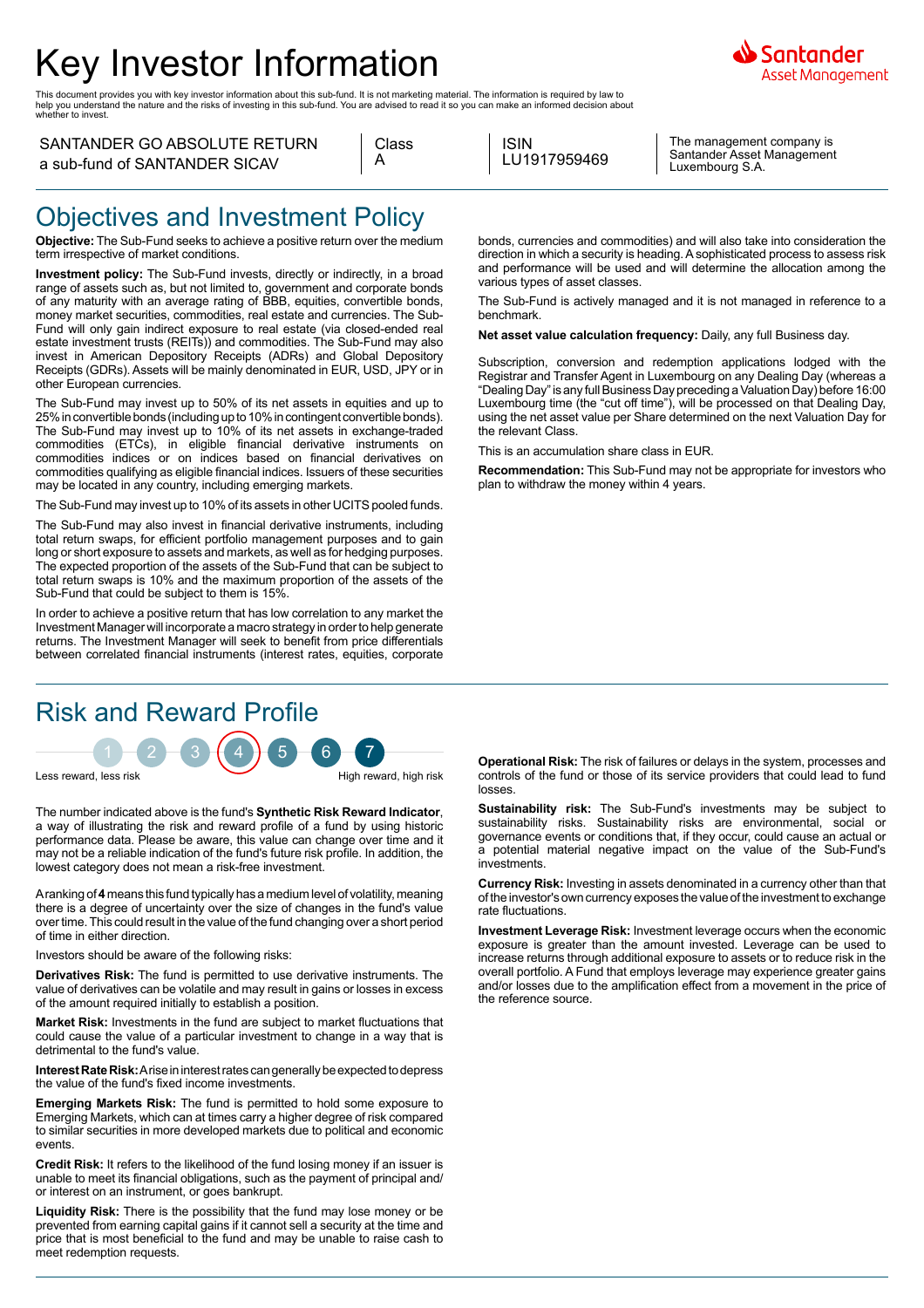# Key Investor Information

This document provides you with key investor information about this sub-fund. It is not marketing material. The information is required by law to<br>help you understand the nature and the risks of investing in this sub-fund.

#### SANTANDER GO ABSOLUTE RETURN a sub-fund of SANTANDER SICAV

| Glass |
|-------|
|       |

ISIN LU1917959469

The management company is Santander Asset Management Luxembourg S.A.

### Objectives and Investment Policy

**Objective:** The Sub-Fund seeks to achieve a positive return over the medium term irrespective of market conditions.

**Investment policy:** The Sub-Fund invests, directly or indirectly, in a broad range of assets such as, but not limited to, government and corporate bonds of any maturity with an average rating of BBB, equities, convertible bonds, money market securities, commodities, real estate and currencies. The Sub-Fund will only gain indirect exposure to real estate (via closed-ended real estate investment trusts (REITs)) and commodities. The Sub-Fund may also invest in American Depository Receipts (ADRs) and Global Depository Receipts (GDRs). Assets will be mainly denominated in EUR, USD, JPY or in other European currencies.

The Sub-Fund may invest up to 50% of its net assets in equities and up to 25% in convertible bonds (including up to 10% in contingent convertible bonds). The Sub-Fund may invest up to 10% of its net assets in exchange-traded commodities (ETCs), in eligible financial derivative instruments on commodities indices or on indices based on financial derivatives on commodities qualifying as eligible financial indices. Issuers of these securities may be located in any country, including emerging markets.

The Sub-Fund may invest up to 10% of its assets in other UCITS pooled funds.

The Sub-Fund may also invest in financial derivative instruments, including total return swaps, for efficient portfolio management purposes and to gain long or short exposure to assets and markets, as well as for hedging purposes. The expected proportion of the assets of the Sub-Fund that can be subject to total return swaps is 10% and the maximum proportion of the assets of the Sub-Fund that could be subject to them is 15%.

In order to achieve a positive return that has low correlation to any market the Investment Manager will incorporate a macro strategy in order to help generate returns. The Investment Manager will seek to benefit from price differentials between correlated financial instruments (interest rates, equities, corporate

## Risk and Reward Profile

 $1 - 2 - 3 + 4 + 5 - 6 - 7$ 

Less reward, less risk High reward, high risk

The number indicated above is the fund's **Synthetic Risk Reward Indicator**, a way of illustrating the risk and reward profile of a fund by using historic performance data. Please be aware, this value can change over time and it may not be a reliable indication of the fund's future risk profile. In addition, the lowest category does not mean a risk-free investment.

A ranking of **4** means this fund typically has a medium level of volatility, meaning there is a degree of uncertainty over the size of changes in the fund's value over time. This could result in the value of the fund changing over a short period of time in either direction.

Investors should be aware of the following risks:

**Derivatives Risk:** The fund is permitted to use derivative instruments. The value of derivatives can be volatile and may result in gains or losses in excess of the amount required initially to establish a position.

**Market Risk:** Investments in the fund are subject to market fluctuations that could cause the value of a particular investment to change in a way that is detrimental to the fund's value.

**Interest Rate Risk:** A rise in interest rates can generally be expected to depress the value of the fund's fixed income investments.

**Emerging Markets Risk:** The fund is permitted to hold some exposure to Emerging Markets, which can at times carry a higher degree of risk compared to similar securities in more developed markets due to political and economic events.

**Credit Risk:** It refers to the likelihood of the fund losing money if an issuer is unable to meet its financial obligations, such as the payment of principal and/ or interest on an instrument, or goes bankrupt.

**Liquidity Risk:** There is the possibility that the fund may lose money or be prevented from earning capital gains if it cannot sell a security at the time and price that is most beneficial to the fund and may be unable to raise cash to meet redemption requests.

bonds, currencies and commodities) and will also take into consideration the direction in which a security is heading. A sophisticated process to assess risk and performance will be used and will determine the allocation among the various types of asset classes.

The Sub-Fund is actively managed and it is not managed in reference to a benchmark.

**Net asset value calculation frequency:** Daily, any full Business day.

Subscription, conversion and redemption applications lodged with the Registrar and Transfer Agent in Luxembourg on any Dealing Day (whereas a "Dealing Day" is any full Business Day preceding a Valuation Day) before 16:00 Luxembourg time (the "cut off time"), will be processed on that Dealing Day, using the net asset value per Share determined on the next Valuation Day for the relevant Class.

This is an accumulation share class in EUR.

**Recommendation:** This Sub-Fund may not be appropriate for investors who plan to withdraw the money within 4 years.

**Operational Risk:** The risk of failures or delays in the system, processes and controls of the fund or those of its service providers that could lead to fund losses.

**Sustainability risk:** The Sub-Fund's investments may be subject to sustainability risks. Sustainability risks are environmental, social or governance events or conditions that, if they occur, could cause an actual or a potential material negative impact on the value of the Sub-Fund's investments.

**Currency Risk:** Investing in assets denominated in a currency other than that of the investor's own currency exposes the value of the investment to exchange rate fluctuations.

**Investment Leverage Risk:** Investment leverage occurs when the economic exposure is greater than the amount invested. Leverage can be used to increase returns through additional exposure to assets or to reduce risk in the overall portfolio. A Fund that employs leverage may experience greater gains and/or losses due to the amplification effect from a movement in the price of the reference source.